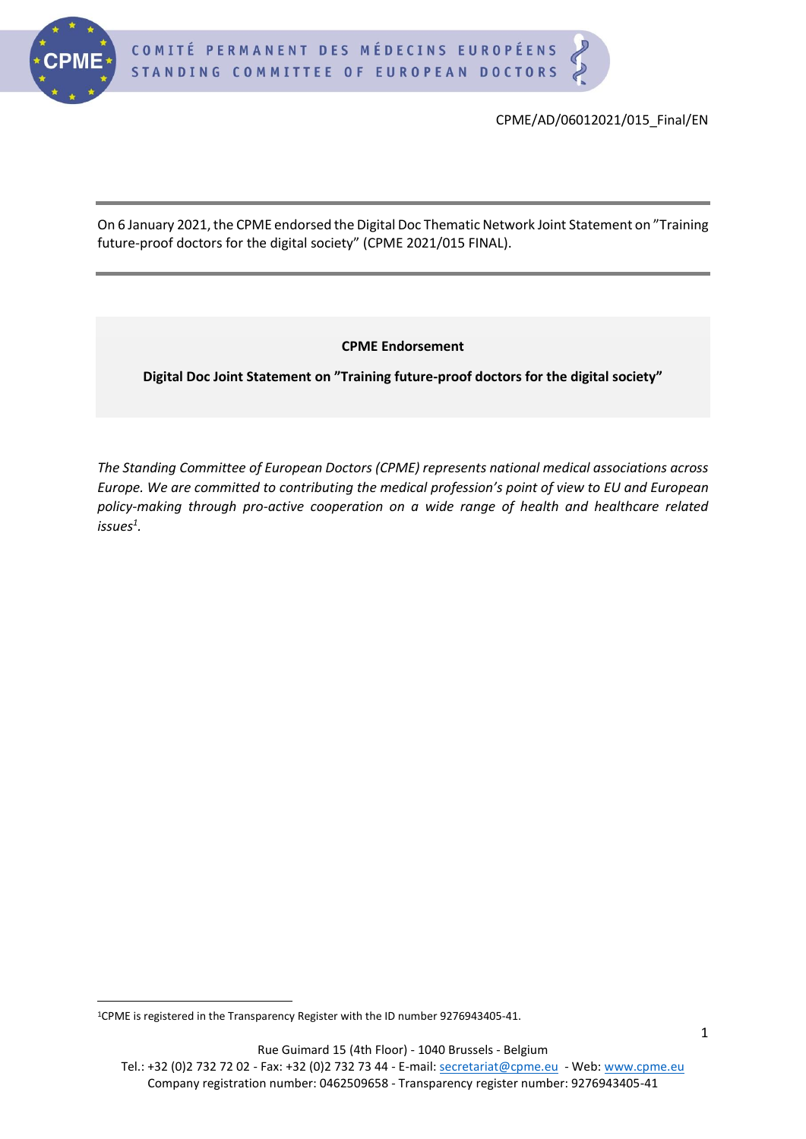

CPME/AD/06012021/015\_Final/EN

On 6 January 2021, the CPME endorsed the Digital Doc Thematic Network Joint Statement on "Training future-proof doctors for the digital society" (CPME 2021/015 FINAL).

**CPME Endorsement** 

**Digital Doc Joint Statement on "Training future-proof doctors for the digital society"**

*The Standing Committee of European Doctors (CPME) represents national medical associations across Europe. We are committed to contributing the medical profession's point of view to EU and European policy-making through pro-active cooperation on a wide range of health and healthcare related issues<sup>1</sup> .*

Tel.: +32 (0)2 732 72 02 - Fax: +32 (0)2 732 73 44 - E-mail: [secretariat@cpme.eu](mailto:secretariat@cpme.eu) - Web[: www.cpme.eu](http://www.cpme.eu/) Company registration number: 0462509658 - Transparency register number: 9276943405-41

<sup>1</sup>CPME is registered in the Transparency Register with the ID number 9276943405-41.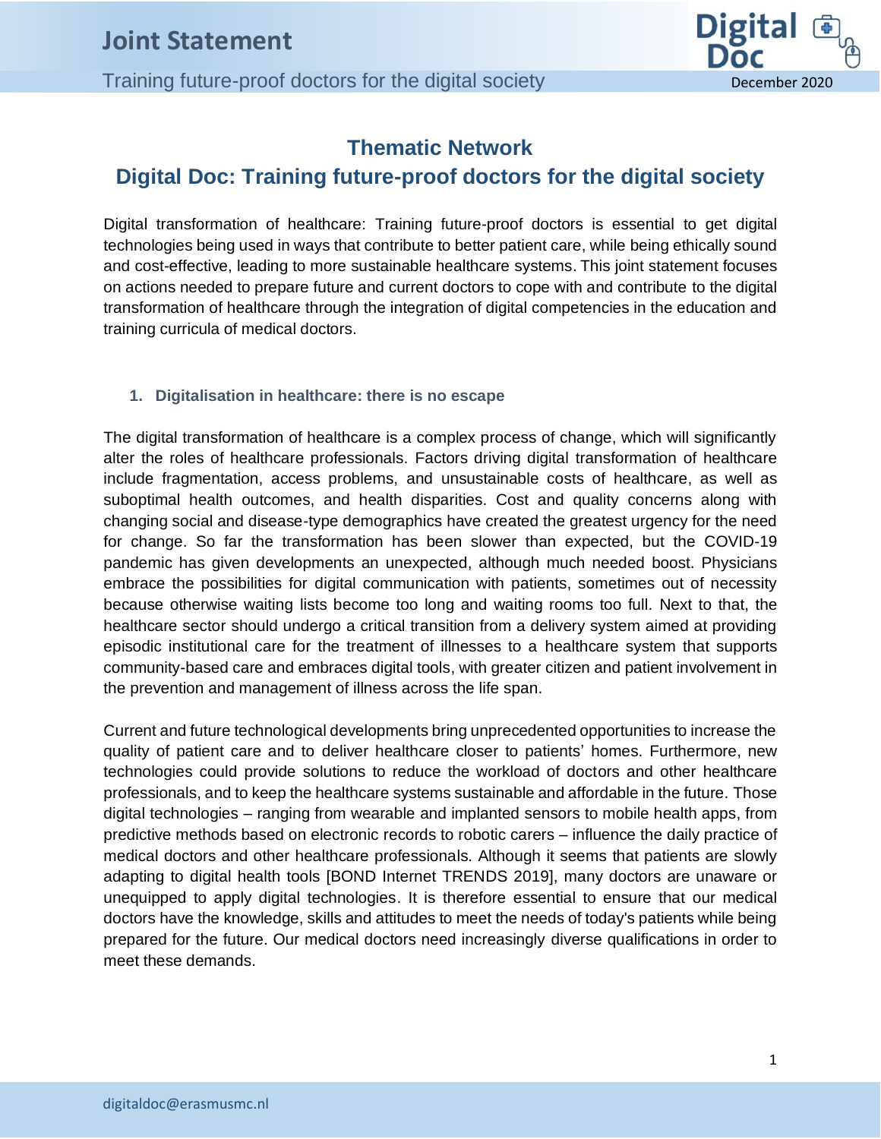**CEPT CEPT CEPT CEPT CEPT CEPT CEPT CEPT CEPT CEPT CEPT CEPT CEPT CEPT CEPT CEPT CEPT CEPT CEPT CEPT CEPT CEPT CEPT CEPT CEPT CEPT CEPT CEPT CEPT CEPT CEPT CEPT** 



### **Thematic Network**

### **Digital Doc: Training future-proof doctors for the digital society**

Digital transformation of healthcare: Training future-proof doctors is essential to get digital technologies being used in ways that contribute to better patient care, while being ethically sound and cost-effective, leading to more sustainable healthcare systems. This joint statement focuses on actions needed to prepare future and current doctors to cope with and contribute to the digital transformation of healthcare through the integration of digital competencies in the education and training curricula of medical doctors.

#### **1. Digitalisation in healthcare: there is no escape**

The digital transformation of healthcare is a complex process of change, which will significantly alter the roles of healthcare professionals. Factors driving digital transformation of healthcare include fragmentation, access problems, and unsustainable costs of healthcare, as well as suboptimal health outcomes, and health disparities. Cost and quality concerns along with changing social and disease-type demographics have created the greatest urgency for the need for change. So far the transformation has been slower than expected, but the COVID-19 pandemic has given developments an unexpected, although much needed boost. Physicians embrace the possibilities for digital communication with patients, sometimes out of necessity because otherwise waiting lists become too long and waiting rooms too full. Next to that, the healthcare sector should undergo a critical transition from a delivery system aimed at providing episodic institutional care for the treatment of illnesses to a healthcare system that supports community-based care and embraces digital tools, with greater citizen and patient involvement in the prevention and management of illness across the life span.

Current and future technological developments bring unprecedented opportunities to increase the quality of patient care and to deliver healthcare closer to patients' homes. Furthermore, new technologies could provide solutions to reduce the workload of doctors and other healthcare professionals, and to keep the healthcare systems sustainable and affordable in the future. Those digital technologies – ranging from wearable and implanted sensors to mobile health apps, from predictive methods based on electronic records to robotic carers – influence the daily practice of medical doctors and other healthcare professionals. Although it seems that patients are slowly adapting to digital health tools [BOND Internet TRENDS 2019], many doctors are unaware or unequipped to apply digital technologies. It is therefore essential to ensure that our medical doctors have the knowledge, skills and attitudes to meet the needs of today's patients while being prepared for the future. Our medical doctors need increasingly diverse qualifications in order to meet these demands.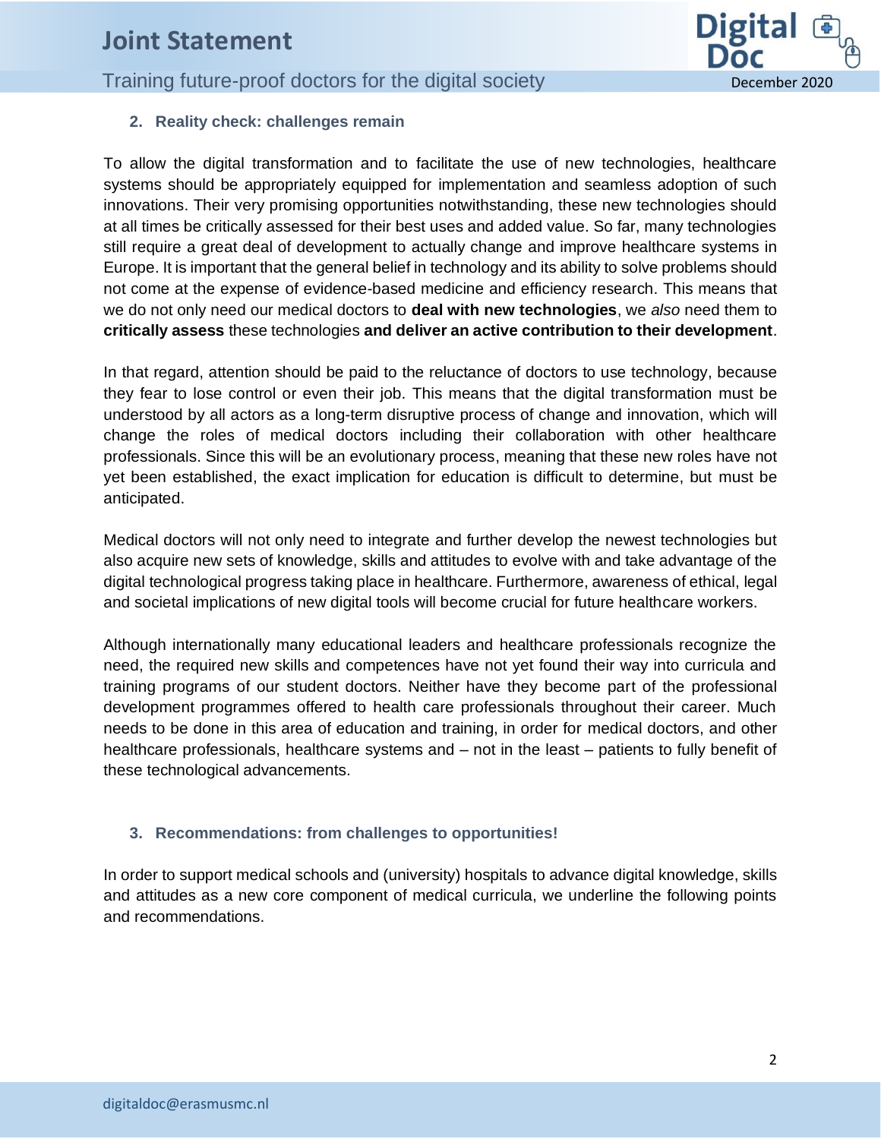## **CEPT CEPT CEPT CEPT CEPT CEPT CEPT CEPT CEPT CEPT CEPT CEPT CEPT CEPT CEPT CEPT CEPT CEPT CEPT CEPT CEPT CEPT CEPT CEPT CEPT CEPT CEPT CEPT CEPT CEPT CEPT CEPT**



#### **2. Reality check: challenges remain**

To allow the digital transformation and to facilitate the use of new technologies, healthcare systems should be appropriately equipped for implementation and seamless adoption of such innovations. Their very promising opportunities notwithstanding, these new technologies should at all times be critically assessed for their best uses and added value. So far, many technologies still require a great deal of development to actually change and improve healthcare systems in Europe. It is important that the general belief in technology and its ability to solve problems should not come at the expense of evidence-based medicine and efficiency research. This means that we do not only need our medical doctors to **deal with new technologies**, we *also* need them to **critically assess** these technologies **and deliver an active contribution to their development**.

In that regard, attention should be paid to the reluctance of doctors to use technology, because they fear to lose control or even their job. This means that the digital transformation must be understood by all actors as a long-term disruptive process of change and innovation, which will change the roles of medical doctors including their collaboration with other healthcare professionals. Since this will be an evolutionary process, meaning that these new roles have not yet been established, the exact implication for education is difficult to determine, but must be anticipated.

Medical doctors will not only need to integrate and further develop the newest technologies but also acquire new sets of knowledge, skills and attitudes to evolve with and take advantage of the digital technological progress taking place in healthcare. Furthermore, awareness of ethical, legal and societal implications of new digital tools will become crucial for future healthcare workers.

Although internationally many educational leaders and healthcare professionals recognize the need, the required new skills and competences have not yet found their way into curricula and training programs of our student doctors. Neither have they become part of the professional development programmes offered to health care professionals throughout their career. Much needs to be done in this area of education and training, in order for medical doctors, and other healthcare professionals, healthcare systems and – not in the least – patients to fully benefit of these technological advancements.

#### **3. Recommendations: from challenges to opportunities!**

In order to support medical schools and (university) hospitals to advance digital knowledge, skills and attitudes as a new core component of medical curricula, we underline the following points and recommendations.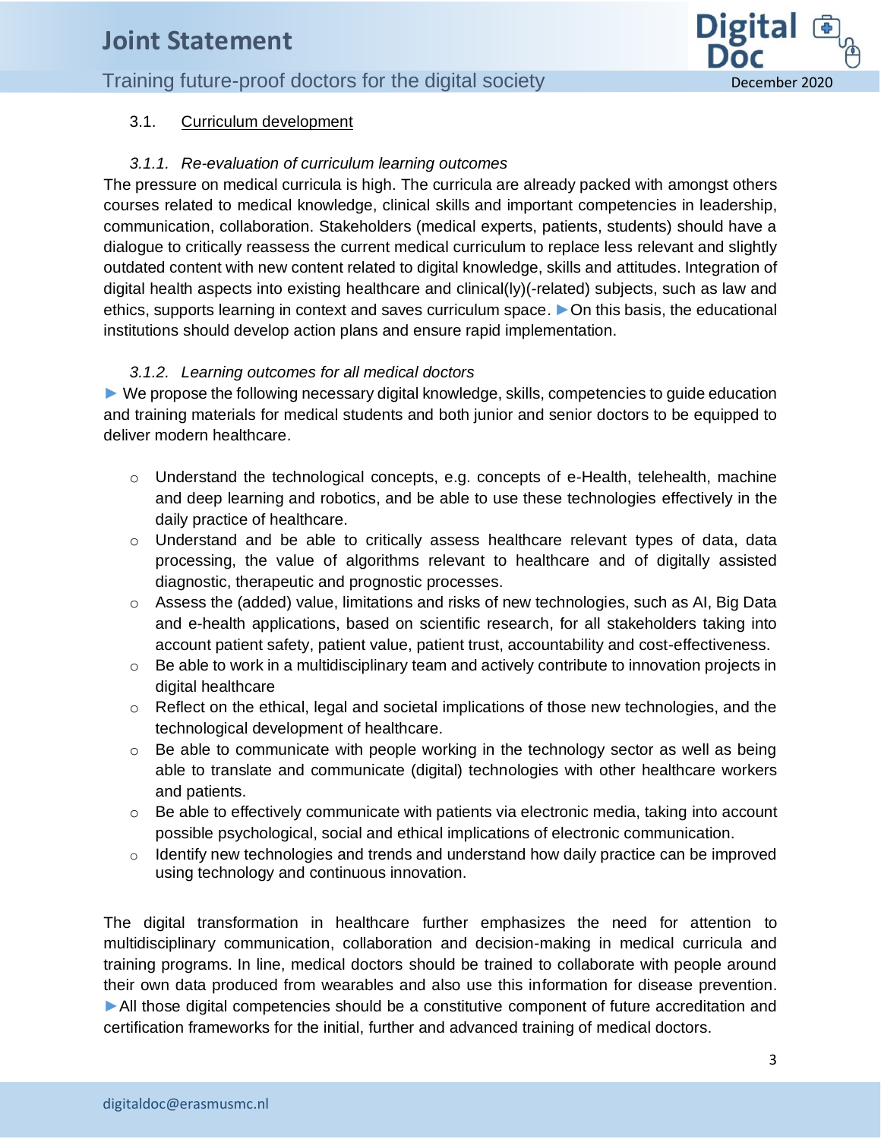## **CEPT CEPT CEPT CEPT CEPT CEPT CEPT CEPT CEPT CEPT CEPT CEPT CEPT CEPT CEPT CEPT CEPT CEPT CEPT CEPT CEPT CEPT CEPT CEPT CEPT CEPT CEPT CEPT CEPT CEPT CEPT CEPT**



#### 3.1. Curriculum development

#### *3.1.1. Re-evaluation of curriculum learning outcomes*

The pressure on medical curricula is high. The curricula are already packed with amongst others courses related to medical knowledge, clinical skills and important competencies in leadership, communication, collaboration. Stakeholders (medical experts, patients, students) should have a dialogue to critically reassess the current medical curriculum to replace less relevant and slightly outdated content with new content related to digital knowledge, skills and attitudes. Integration of digital health aspects into existing healthcare and clinical(ly)(-related) subjects, such as law and ethics, supports learning in context and saves curriculum space. ►On this basis, the educational institutions should develop action plans and ensure rapid implementation.

#### *3.1.2. Learning outcomes for all medical doctors*

► We propose the following necessary digital knowledge, skills, competencies to guide education and training materials for medical students and both junior and senior doctors to be equipped to deliver modern healthcare.

- $\circ$  Understand the technological concepts, e.g. concepts of e-Health, telehealth, machine and deep learning and robotics, and be able to use these technologies effectively in the daily practice of healthcare.
- $\circ$  Understand and be able to critically assess healthcare relevant types of data, data processing, the value of algorithms relevant to healthcare and of digitally assisted diagnostic, therapeutic and prognostic processes.
- $\circ$  Assess the (added) value, limitations and risks of new technologies, such as AI, Big Data and e-health applications, based on scientific research, for all stakeholders taking into account patient safety, patient value, patient trust, accountability and cost-effectiveness.
- $\circ$  Be able to work in a multidisciplinary team and actively contribute to innovation projects in digital healthcare
- $\circ$  Reflect on the ethical, legal and societal implications of those new technologies, and the technological development of healthcare.
- $\circ$  Be able to communicate with people working in the technology sector as well as being able to translate and communicate (digital) technologies with other healthcare workers and patients.
- $\circ$  Be able to effectively communicate with patients via electronic media, taking into account possible psychological, social and ethical implications of electronic communication.
- o Identify new technologies and trends and understand how daily practice can be improved using technology and continuous innovation.

The digital transformation in healthcare further emphasizes the need for attention to multidisciplinary communication, collaboration and decision-making in medical curricula and training programs. In line, medical doctors should be trained to collaborate with people around their own data produced from wearables and also use this information for disease prevention. ►All those digital competencies should be a constitutive component of future accreditation and certification frameworks for the initial, further and advanced training of medical doctors.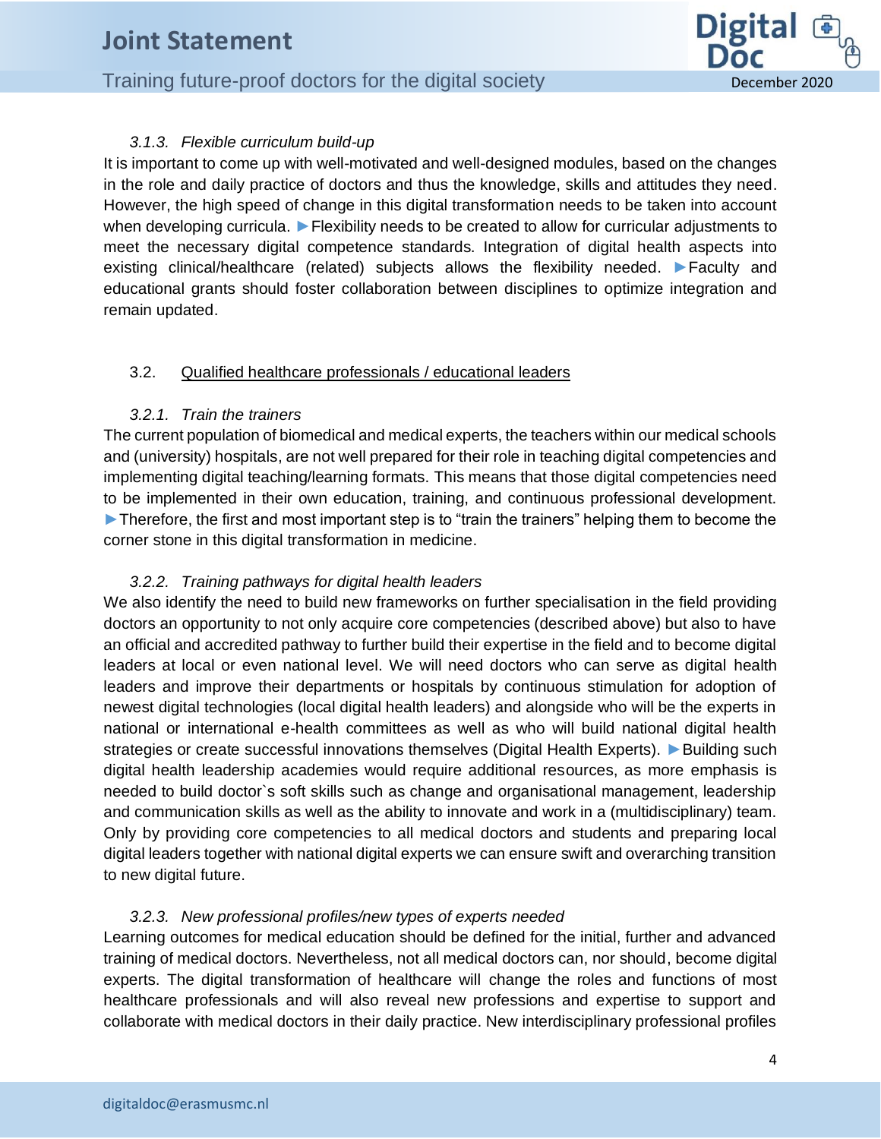## **CEPT CEPT CEPT CEPT CEPT CEPT CEPT CEPT CEPT CEPT CEPT CEPT CEPT CEPT CEPT CEPT CEPT CEPT CEPT CEPT CEPT CEPT CEPT CEPT CEPT CEPT CEPT CEPT CEPT CEPT CEPT CEPT**



#### *3.1.3. Flexible curriculum build-up*

It is important to come up with well-motivated and well-designed modules, based on the changes in the role and daily practice of doctors and thus the knowledge, skills and attitudes they need. However, the high speed of change in this digital transformation needs to be taken into account when developing curricula. ► Flexibility needs to be created to allow for curricular adjustments to meet the necessary digital competence standards. Integration of digital health aspects into existing clinical/healthcare (related) subjects allows the flexibility needed. ►Faculty and educational grants should foster collaboration between disciplines to optimize integration and remain updated.

#### 3.2. Qualified healthcare professionals / educational leaders

#### *3.2.1. Train the trainers*

The current population of biomedical and medical experts, the teachers within our medical schools and (university) hospitals, are not well prepared for their role in teaching digital competencies and implementing digital teaching/learning formats. This means that those digital competencies need to be implemented in their own education, training, and continuous professional development. ► Therefore, the first and most important step is to "train the trainers" helping them to become the corner stone in this digital transformation in medicine.

#### *3.2.2. Training pathways for digital health leaders*

We also identify the need to build new frameworks on further specialisation in the field providing doctors an opportunity to not only acquire core competencies (described above) but also to have an official and accredited pathway to further build their expertise in the field and to become digital leaders at local or even national level. We will need doctors who can serve as digital health leaders and improve their departments or hospitals by continuous stimulation for adoption of newest digital technologies (local digital health leaders) and alongside who will be the experts in national or international e-health committees as well as who will build national digital health strategies or create successful innovations themselves (Digital Health Experts). ► Building such digital health leadership academies would require additional resources, as more emphasis is needed to build doctor`s soft skills such as change and organisational management, leadership and communication skills as well as the ability to innovate and work in a (multidisciplinary) team. Only by providing core competencies to all medical doctors and students and preparing local digital leaders together with national digital experts we can ensure swift and overarching transition to new digital future.

#### *3.2.3. New professional profiles/new types of experts needed*

Learning outcomes for medical education should be defined for the initial, further and advanced training of medical doctors. Nevertheless, not all medical doctors can, nor should, become digital experts. The digital transformation of healthcare will change the roles and functions of most healthcare professionals and will also reveal new professions and expertise to support and collaborate with medical doctors in their daily practice. New interdisciplinary professional profiles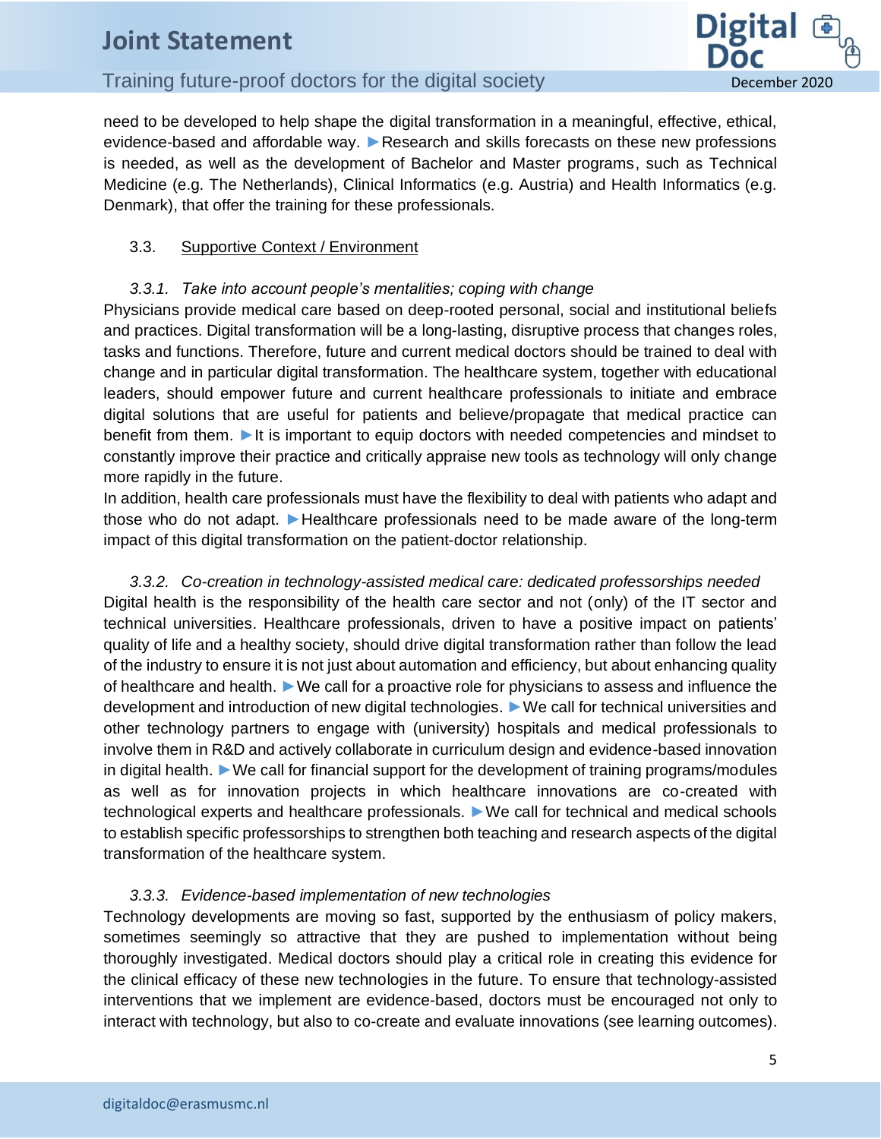# **CEPT CEPT CEPT CEPT CEPT CEPT CEPT CEPT CEPT CEPT CEPT CEPT CEPT CEPT CEPT CEPT CEPT CEPT CEPT CEPT CEPT CEPT CEPT CEPT CEPT CEPT CEPT CEPT CEPT CEPT CEPT CEPT**

**Digital** Doc

need to be developed to help shape the digital transformation in a meaningful, effective, ethical, evidence-based and affordable way. ▶Research and skills forecasts on these new professions is needed, as well as the development of Bachelor and Master programs, such as Technical Medicine (e.g. The Netherlands), Clinical Informatics (e.g. Austria) and Health Informatics (e.g. Denmark), that offer the training for these professionals.

#### 3.3. Supportive Context / Environment

#### *3.3.1. Take into account people's mentalities; coping with change*

Physicians provide medical care based on deep-rooted personal, social and institutional beliefs and practices. Digital transformation will be a long-lasting, disruptive process that changes roles, tasks and functions. Therefore, future and current medical doctors should be trained to deal with change and in particular digital transformation. The healthcare system, together with educational leaders, should empower future and current healthcare professionals to initiate and embrace digital solutions that are useful for patients and believe/propagate that medical practice can benefit from them. ►It is important to equip doctors with needed competencies and mindset to constantly improve their practice and critically appraise new tools as technology will only change more rapidly in the future.

In addition, health care professionals must have the flexibility to deal with patients who adapt and those who do not adapt. ►Healthcare professionals need to be made aware of the long-term impact of this digital transformation on the patient-doctor relationship.

*3.3.2. Co-creation in technology-assisted medical care: dedicated professorships needed* Digital health is the responsibility of the health care sector and not (only) of the IT sector and technical universities. Healthcare professionals, driven to have a positive impact on patients' quality of life and a healthy society, should drive digital transformation rather than follow the lead of the industry to ensure it is not just about automation and efficiency, but about enhancing quality of healthcare and health. ►We call for a proactive role for physicians to assess and influence the development and introduction of new digital technologies. ►We call for technical universities and other technology partners to engage with (university) hospitals and medical professionals to involve them in R&D and actively collaborate in curriculum design and evidence-based innovation in digital health. ►We call for financial support for the development of training programs/modules as well as for innovation projects in which healthcare innovations are co-created with technological experts and healthcare professionals. ►We call for technical and medical schools to establish specific professorships to strengthen both teaching and research aspects of the digital transformation of the healthcare system.

#### *3.3.3. Evidence-based implementation of new technologies*

Technology developments are moving so fast, supported by the enthusiasm of policy makers, sometimes seemingly so attractive that they are pushed to implementation without being thoroughly investigated. Medical doctors should play a critical role in creating this evidence for the clinical efficacy of these new technologies in the future. To ensure that technology-assisted interventions that we implement are evidence-based, doctors must be encouraged not only to interact with technology, but also to co-create and evaluate innovations (see learning outcomes).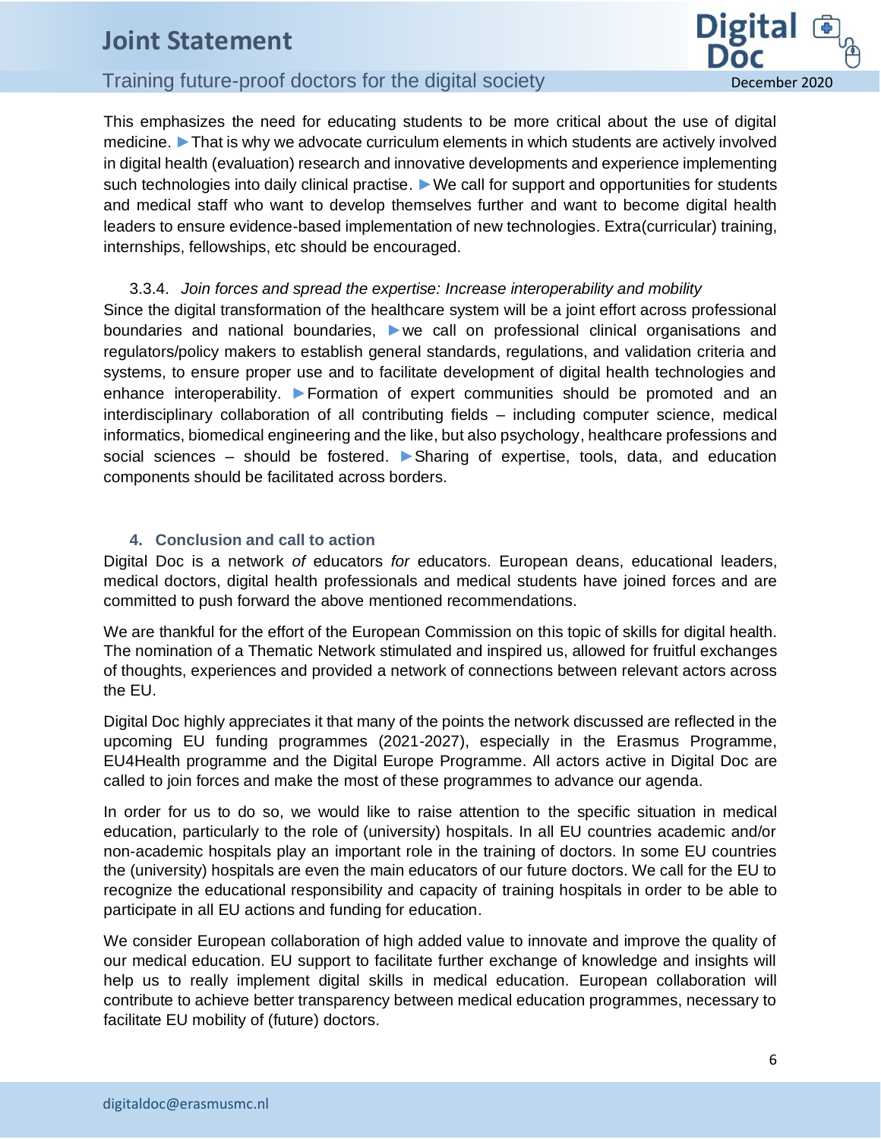# **CEPT CEPT CEPT CEPT CEPT CEPT CEPT CEPT CEPT CEPT CEPT CEPT CEPT CEPT CEPT CEPT CEPT CEPT CEPT CEPT CEPT CEPT CEPT CEPT CEPT CEPT CEPT CEPT CEPT CEPT CEPT CEPT**

**Digital** Doc

This emphasizes the need for educating students to be more critical about the use of digital medicine. ▶That is why we advocate curriculum elements in which students are actively involved in digital health (evaluation) research and innovative developments and experience implementing such technologies into daily clinical practise. ► We call for support and opportunities for students and medical staff who want to develop themselves further and want to become digital health leaders to ensure evidence-based implementation of new technologies. Extra(curricular) training, internships, fellowships, etc should be encouraged.

3.3.4. *Join forces and spread the expertise: Increase interoperability and mobility*  Since the digital transformation of the healthcare system will be a joint effort across professional boundaries and national boundaries, ►we call on professional clinical organisations and regulators/policy makers to establish general standards, regulations, and validation criteria and systems, to ensure proper use and to facilitate development of digital health technologies and enhance interoperability. ►Formation of expert communities should be promoted and an interdisciplinary collaboration of all contributing fields – including computer science, medical informatics, biomedical engineering and the like, but also psychology, healthcare professions and social sciences – should be fostered. ▶ Sharing of expertise, tools, data, and education components should be facilitated across borders.

#### **4. Conclusion and call to action**

Digital Doc is a network *of* educators *for* educators. European deans, educational leaders, medical doctors, digital health professionals and medical students have joined forces and are committed to push forward the above mentioned recommendations.

We are thankful for the effort of the European Commission on this topic of skills for digital health. The nomination of a Thematic Network stimulated and inspired us, allowed for fruitful exchanges of thoughts, experiences and provided a network of connections between relevant actors across the EU.

Digital Doc highly appreciates it that many of the points the network discussed are reflected in the upcoming EU funding programmes (2021-2027), especially in the Erasmus Programme, EU4Health programme and the Digital Europe Programme. All actors active in Digital Doc are called to join forces and make the most of these programmes to advance our agenda.

In order for us to do so, we would like to raise attention to the specific situation in medical education, particularly to the role of (university) hospitals. In all EU countries academic and/or non-academic hospitals play an important role in the training of doctors. In some EU countries the (university) hospitals are even the main educators of our future doctors. We call for the EU to recognize the educational responsibility and capacity of training hospitals in order to be able to participate in all EU actions and funding for education.

We consider European collaboration of high added value to innovate and improve the quality of our medical education. EU support to facilitate further exchange of knowledge and insights will help us to really implement digital skills in medical education. European collaboration will contribute to achieve better transparency between medical education programmes, necessary to facilitate EU mobility of (future) doctors.